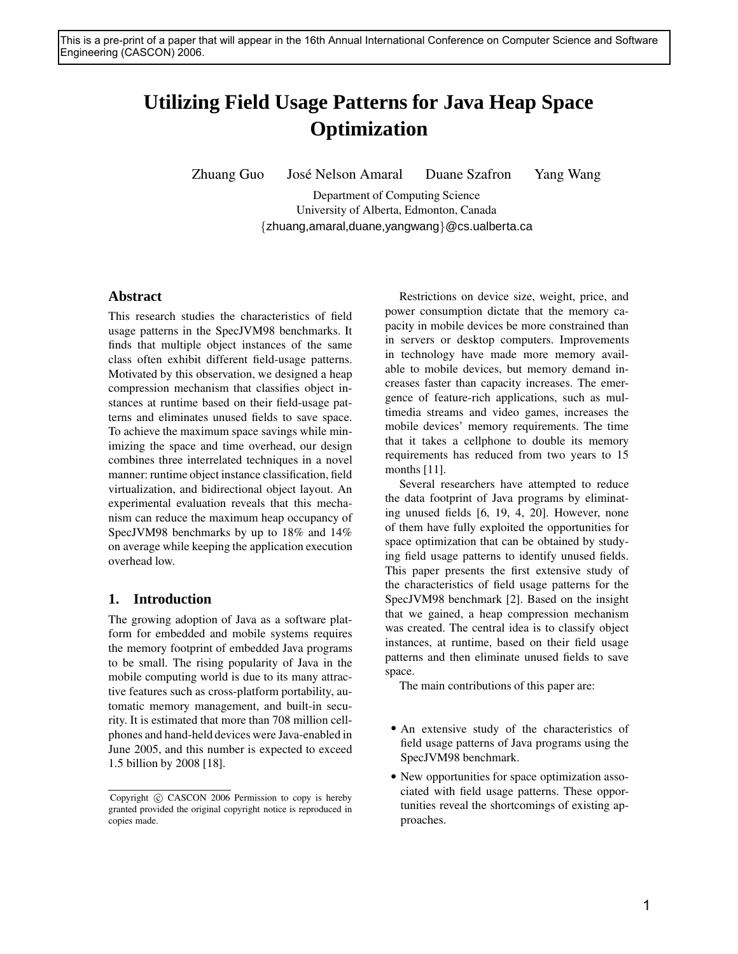# **Utilizing Field Usage Patterns for Java Heap Space Optimization**

Zhuang Guo Jose´ Nelson Amaral Duane Szafron Yang Wang

Department of Computing Science University of Alberta, Edmonton, Canada {zhuang,amaral,duane,yangwang}@cs.ualberta.ca

#### **Abstract**

This research studies the characteristics of field usage patterns in the SpecJVM98 benchmarks. It finds that multiple object instances of the same class often exhibit different field-usage patterns. Motivated by this observation, we designed a heap compression mechanism that classifies object instances at runtime based on their field-usage patterns and eliminates unused fields to save space. To achieve the maximum space savings while minimizing the space and time overhead, our design combines three interrelated techniques in a novel manner: runtime object instance classification, field virtualization, and bidirectional object layout. An experimental evaluation reveals that this mechanism can reduce the maximum heap occupancy of SpecJVM98 benchmarks by up to 18% and 14% on average while keeping the application execution overhead low.

## **1. Introduction**

The growing adoption of Java as a software platform for embedded and mobile systems requires the memory footprint of embedded Java programs to be small. The rising popularity of Java in the mobile computing world is due to its many attractive features such as cross-platform portability, automatic memory management, and built-in security. It is estimated that more than 708 million cellphones and hand-held devices were Java-enabled in June 2005, and this number is expected to exceed 1.5 billion by 2008 [18].

Restrictions on device size, weight, price, and power consumption dictate that the memory capacity in mobile devices be more constrained than in servers or desktop computers. Improvements in technology have made more memory available to mobile devices, but memory demand increases faster than capacity increases. The emergence of feature-rich applications, such as multimedia streams and video games, increases the mobile devices' memory requirements. The time that it takes a cellphone to double its memory requirements has reduced from two years to 15 months [11].

Several researchers have attempted to reduce the data footprint of Java programs by eliminating unused fields [6, 19, 4, 20]. However, none of them have fully exploited the opportunities for space optimization that can be obtained by studying field usage patterns to identify unused fields. This paper presents the first extensive study of the characteristics of field usage patterns for the SpecJVM98 benchmark [2]. Based on the insight that we gained, a heap compression mechanism was created. The central idea is to classify object instances, at runtime, based on their field usage patterns and then eliminate unused fields to save space.

The main contributions of this paper are:

- An extensive study of the characteristics of field usage patterns of Java programs using the SpecJVM98 benchmark.
- New opportunities for space optimization associated with field usage patterns. These opportunities reveal the shortcomings of existing approaches.

Copyright © CASCON 2006 Permission to copy is hereby granted provided the original copyright notice is reproduced in copies made.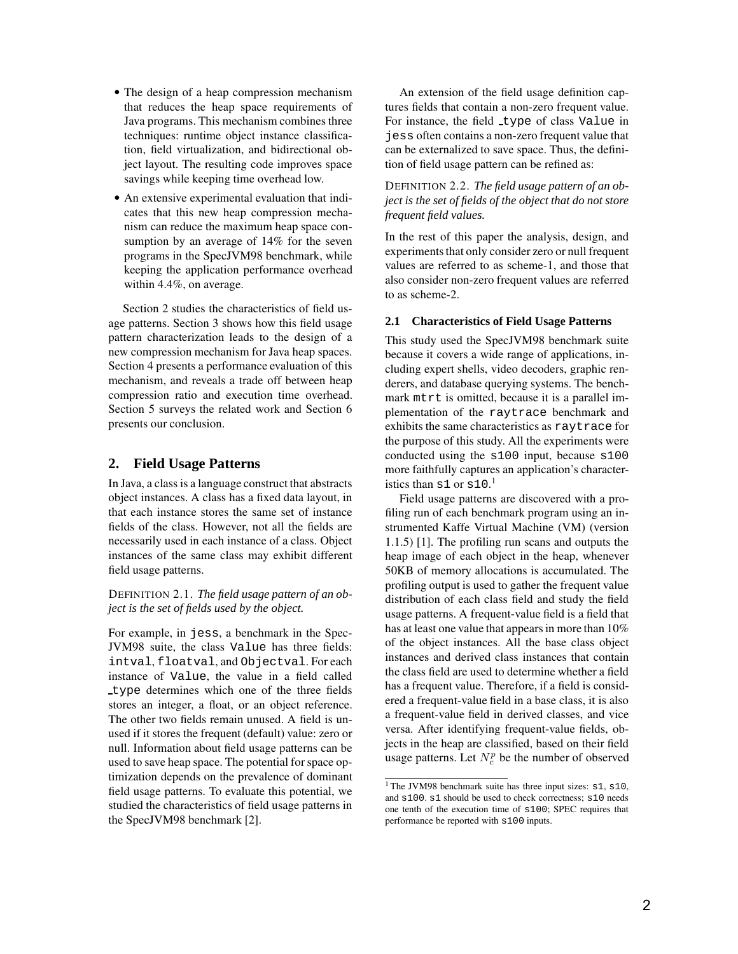- The design of a heap compression mechanism that reduces the heap space requirements of Java programs. This mechanism combines three techniques: runtime object instance classification, field virtualization, and bidirectional object layout. The resulting code improves space savings while keeping time overhead low.
- An extensive experimental evaluation that indicates that this new heap compression mechanism can reduce the maximum heap space consumption by an average of 14% for the seven programs in the SpecJVM98 benchmark, while keeping the application performance overhead within 4.4%, on average.

Section 2 studies the characteristics of field usage patterns. Section 3 shows how this field usage pattern characterization leads to the design of a new compression mechanism for Java heap spaces. Section 4 presents a performance evaluation of this mechanism, and reveals a trade off between heap compression ratio and execution time overhead. Section 5 surveys the related work and Section 6 presents our conclusion.

## **2. Field Usage Patterns**

In Java, a class is a language construct that abstracts object instances. A class has a fixed data layout, in that each instance stores the same set of instance fields of the class. However, not all the fields are necessarily used in each instance of a class. Object instances of the same class may exhibit different field usage patterns.

DEFINITION 2.1. *The field usage pattern of an object is the set of fields used by the object.*

For example, in jess, a benchmark in the Spec-JVM98 suite, the class Value has three fields: intval, floatval, and Objectval. For each instance of Value, the value in a field called type determines which one of the three fields stores an integer, a float, or an object reference. The other two fields remain unused. A field is unused if it stores the frequent (default) value: zero or null. Information about field usage patterns can be used to save heap space. The potential for space optimization depends on the prevalence of dominant field usage patterns. To evaluate this potential, we studied the characteristics of field usage patterns in the SpecJVM98 benchmark [2].

An extension of the field usage definition captures fields that contain a non-zero frequent value. For instance, the field type of class Value in jess often contains a non-zero frequent value that can be externalized to save space. Thus, the definition of field usage pattern can be refined as:

DEFINITION 2.2. *The field usage pattern of an object is the set of fields of the object that do not store frequent field values.*

In the rest of this paper the analysis, design, and experiments that only consider zero or null frequent values are referred to as scheme-1, and those that also consider non-zero frequent values are referred to as scheme-2.

## **2.1 Characteristics of Field Usage Patterns**

This study used the SpecJVM98 benchmark suite because it covers a wide range of applications, including expert shells, video decoders, graphic renderers, and database querying systems. The benchmark mtrt is omitted, because it is a parallel implementation of the raytrace benchmark and exhibits the same characteristics as raytrace for the purpose of this study. All the experiments were conducted using the s100 input, because s100 more faithfully captures an application's characteristics than  $s1$  or  $s10.<sup>1</sup>$ 

Field usage patterns are discovered with a profiling run of each benchmark program using an instrumented Kaffe Virtual Machine (VM) (version 1.1.5) [1]. The profiling run scans and outputs the heap image of each object in the heap, whenever 50KB of memory allocations is accumulated. The profiling output is used to gather the frequent value distribution of each class field and study the field usage patterns. A frequent-value field is a field that has at least one value that appears in more than  $10\%$ of the object instances. All the base class object instances and derived class instances that contain the class field are used to determine whether a field has a frequent value. Therefore, if a field is considered a frequent-value field in a base class, it is also a frequent-value field in derived classes, and vice versa. After identifying frequent-value fields, objects in the heap are classified, based on their field usage patterns. Let  $N_c^p$  be the number of observed

<sup>&</sup>lt;sup>1</sup>The JVM98 benchmark suite has three input sizes:  $s1$ ,  $s10$ , and s100. s1 should be used to check correctness; s10 needs one tenth of the execution time of s100; SPEC requires that performance be reported with s100 inputs.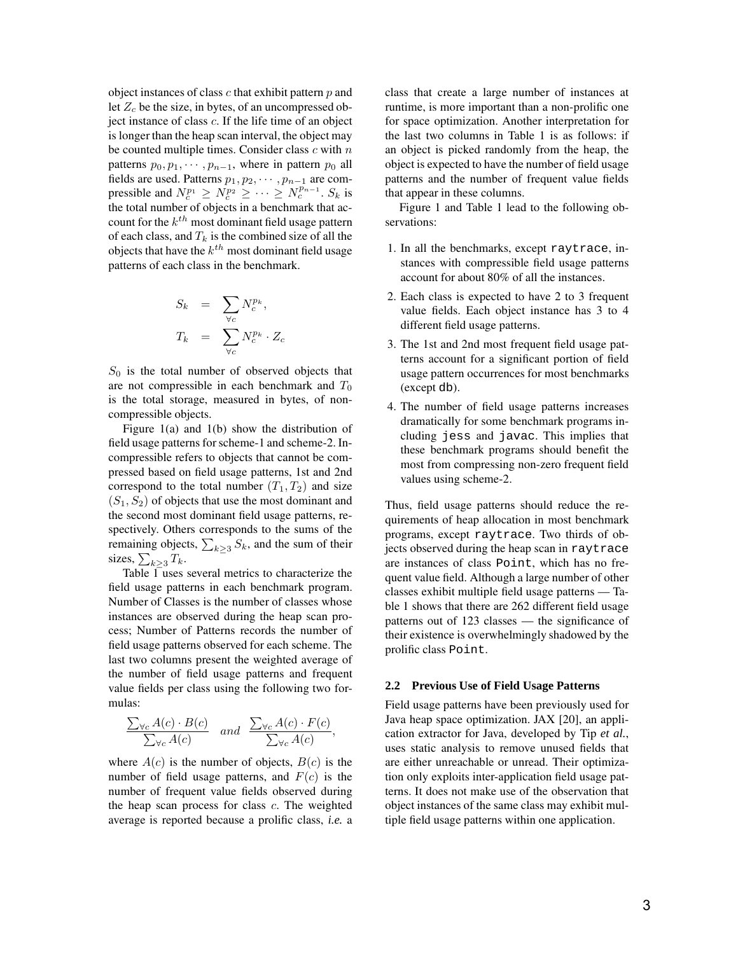object instances of class  $c$  that exhibit pattern  $p$  and let  $Z_c$  be the size, in bytes, of an uncompressed object instance of class  $c$ . If the life time of an object is longer than the heap scan interval, the object may be counted multiple times. Consider class  $c$  with  $n$ patterns  $p_0, p_1, \cdots, p_{n-1}$ , where in pattern  $p_0$  all fields are used. Patterns  $p_1, p_2, \cdots, p_{n-1}$  are compressible and  $N_c^{p_1} \ge N_c^{p_2} \ge \cdots \ge N_c^{p_{n-1}}$ .  $S_k$  is the total number of objects in a benchmark that account for the  $k^{th}$  most dominant field usage pattern of each class, and  $T_k$  is the combined size of all the objects that have the  $k^{th}$  most dominant field usage patterns of each class in the benchmark.

$$
S_k = \sum_{\forall c} N_c^{p_k},
$$
  

$$
T_k = \sum_{\forall c} N_c^{p_k} \cdot Z_c
$$

 $S_0$  is the total number of observed objects that are not compressible in each benchmark and  $T_0$ is the total storage, measured in bytes, of noncompressible objects.

Figure 1(a) and 1(b) show the distribution of field usage patterns forscheme-1 and scheme-2. Incompressible refers to objects that cannot be compressed based on field usage patterns, 1st and 2nd correspond to the total number  $(T_1, T_2)$  and size  $(S_1, S_2)$  of objects that use the most dominant and the second most dominant field usage patterns, respectively. Others corresponds to the sums of the remaining objects,  $\sum_{k\geq 3} S_k$ , and the sum of their sizes,  $\sum_{k\geq 3} T_k$ .

Table  $\overline{1}$  uses several metrics to characterize the field usage patterns in each benchmark program. Number of Classes is the number of classes whose instances are observed during the heap scan process; Number of Patterns records the number of field usage patterns observed for each scheme. The last two columns present the weighted average of the number of field usage patterns and frequent value fields per class using the following two formulas:

$$
\frac{\sum_{\forall c} A(c) \cdot B(c)}{\sum_{\forall c} A(c)} \quad and \quad \frac{\sum_{\forall c} A(c) \cdot F(c)}{\sum_{\forall c} A(c)},
$$

where  $A(c)$  is the number of objects,  $B(c)$  is the number of field usage patterns, and  $F(c)$  is the number of frequent value fields observed during the heap scan process for class  $c$ . The weighted average is reported because a prolific class, *i.e.* a class that create a large number of instances at runtime, is more important than a non-prolific one for space optimization. Another interpretation for the last two columns in Table 1 is as follows: if an object is picked randomly from the heap, the object is expected to have the number of field usage patterns and the number of frequent value fields that appear in these columns.

Figure 1 and Table 1 lead to the following observations:

- 1. In all the benchmarks, except raytrace, instances with compressible field usage patterns account for about 80% of all the instances.
- 2. Each class is expected to have 2 to 3 frequent value fields. Each object instance has 3 to 4 different field usage patterns.
- 3. The 1st and 2nd most frequent field usage patterns account for a significant portion of field usage pattern occurrences for most benchmarks (except db).
- 4. The number of field usage patterns increases dramatically for some benchmark programs including jess and javac. This implies that these benchmark programs should benefit the most from compressing non-zero frequent field values using scheme-2.

Thus, field usage patterns should reduce the requirements of heap allocation in most benchmark programs, except raytrace. Two thirds of objects observed during the heap scan in raytrace are instances of class Point, which has no frequent value field. Although a large number of other classes exhibit multiple field usage patterns — Table 1 shows that there are 262 different field usage patterns out of 123 classes — the significance of their existence is overwhelmingly shadowed by the prolific class Point.

#### **2.2 Previous Use of Field Usage Patterns**

Field usage patterns have been previously used for Java heap space optimization. JAX [20], an application extractor for Java, developed by Tip *et al.*, uses static analysis to remove unused fields that are either unreachable or unread. Their optimization only exploits inter-application field usage patterns. It does not make use of the observation that object instances of the same class may exhibit multiple field usage patterns within one application.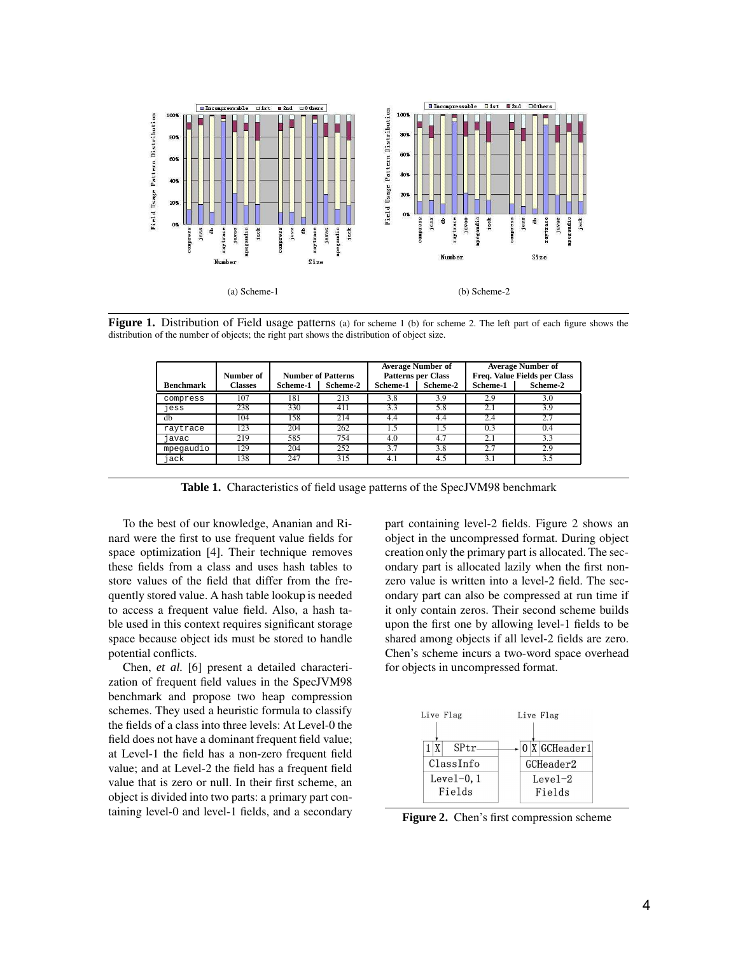

**Figure 1.** Distribution of Field usage patterns (a) for scheme 1 (b) for scheme 2. The left part of each figure shows the distribution of the number of objects; the right part shows the distribution of object size.

|                  | Number of      | <b>Number of Patterns</b> |          |          | <b>Average Number of</b><br><b>Patterns per Class</b> | <b>Average Number of</b><br>Freq. Value Fields per Class |          |  |
|------------------|----------------|---------------------------|----------|----------|-------------------------------------------------------|----------------------------------------------------------|----------|--|
| <b>Benchmark</b> | <b>Classes</b> | Scheme-1                  | Scheme-2 | Scheme-1 | Scheme-2                                              | Scheme-1                                                 | Scheme-2 |  |
| compress         | 107            | 181                       | 213      | 3.8      | 3.9                                                   | 2.9                                                      | 3.0      |  |
| jess             | 238            | 330                       | 411      | 3.3      | 5.8                                                   | 2.1                                                      | 3.9      |  |
| db               | 104            | 158                       | 214      | 4.4      | 4.4                                                   | 2.4                                                      | 27       |  |
| raytrace         | 123            | 204                       | 262      | 1.5      | 1.5                                                   | 0.3                                                      | 0.4      |  |
| javac            | 219            | 585                       | 754      | 4.0      | 4.7                                                   | 2.1                                                      | 3.3      |  |
| mpegaudio        | 129            | 204                       | 252      | 3.7      | 3.8                                                   | 2.7                                                      | 2.9      |  |
| jack             | 138            | 247                       | 315      | 4. I     | 4.5                                                   | 3.1                                                      | 3.5      |  |

**Table 1.** Characteristics of field usage patterns of the SpecJVM98 benchmark

To the best of our knowledge, Ananian and Rinard were the first to use frequent value fields for space optimization [4]. Their technique removes these fields from a class and uses hash tables to store values of the field that differ from the frequently stored value. A hash table lookup is needed to access a frequent value field. Also, a hash table used in this context requires significant storage space because object ids must be stored to handle potential conflicts.

Chen, *et al.* [6] present a detailed characterization of frequent field values in the SpecJVM98 benchmark and propose two heap compression schemes. They used a heuristic formula to classify the fields of a class into three levels: At Level-0 the field does not have a dominant frequent field value; at Level-1 the field has a non-zero frequent field value; and at Level-2 the field has a frequent field value that is zero or null. In their first scheme, an object is divided into two parts: a primary part containing level-0 and level-1 fields, and a secondary

part containing level-2 fields. Figure 2 shows an object in the uncompressed format. During object creation only the primary part is allocated. The secondary part is allocated lazily when the first nonzero value is written into a level-2 field. The secondary part can also be compressed at run time if it only contain zeros. Their second scheme builds upon the first one by allowing level-1 fields to be shared among objects if all level-2 fields are zero. Chen's scheme incurs a two-word space overhead for objects in uncompressed format.



**Figure 2.** Chen's first compression scheme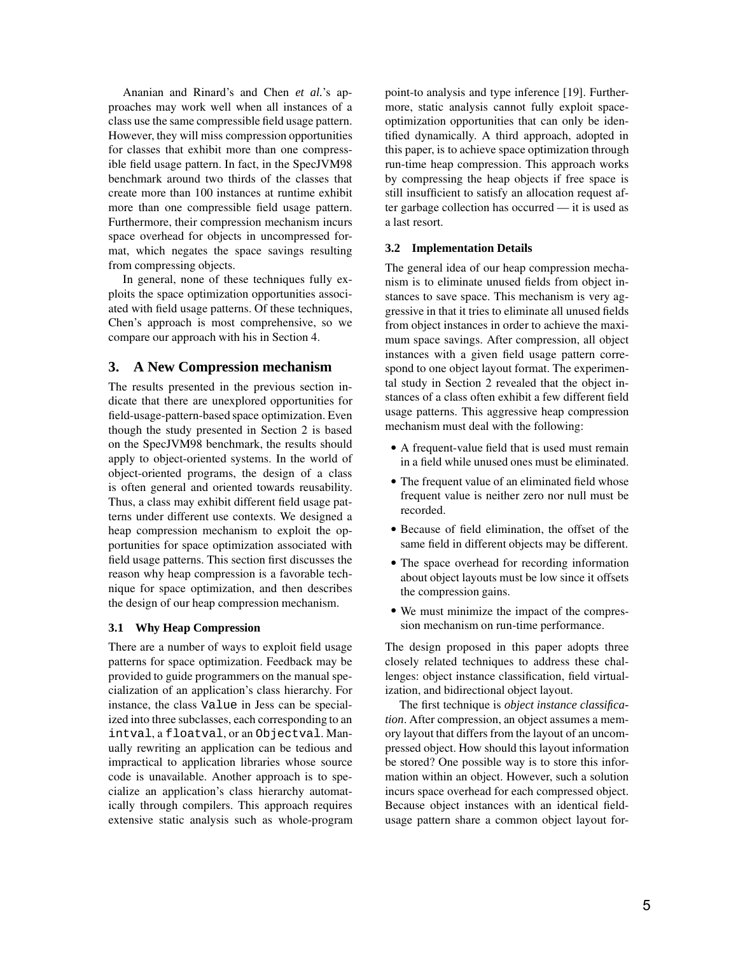Ananian and Rinard's and Chen *et al.*'s approaches may work well when all instances of a class use the same compressible field usage pattern. However, they will miss compression opportunities for classes that exhibit more than one compressible field usage pattern. In fact, in the SpecJVM98 benchmark around two thirds of the classes that create more than 100 instances at runtime exhibit more than one compressible field usage pattern. Furthermore, their compression mechanism incurs space overhead for objects in uncompressed format, which negates the space savings resulting from compressing objects.

In general, none of these techniques fully exploits the space optimization opportunities associated with field usage patterns. Of these techniques, Chen's approach is most comprehensive, so we compare our approach with his in Section 4.

## **3. A New Compression mechanism**

The results presented in the previous section indicate that there are unexplored opportunities for field-usage-pattern-based space optimization. Even though the study presented in Section 2 is based on the SpecJVM98 benchmark, the results should apply to object-oriented systems. In the world of object-oriented programs, the design of a class is often general and oriented towards reusability. Thus, a class may exhibit different field usage patterns under different use contexts. We designed a heap compression mechanism to exploit the opportunities for space optimization associated with field usage patterns. This section first discusses the reason why heap compression is a favorable technique for space optimization, and then describes the design of our heap compression mechanism.

#### **3.1 Why Heap Compression**

There are a number of ways to exploit field usage patterns for space optimization. Feedback may be provided to guide programmers on the manual specialization of an application's class hierarchy. For instance, the class Value in Jess can be specialized into three subclasses, each corresponding to an intval, a floatval, or an Objectval. Manually rewriting an application can be tedious and impractical to application libraries whose source code is unavailable. Another approach is to specialize an application's class hierarchy automatically through compilers. This approach requires extensive static analysis such as whole-program point-to analysis and type inference [19]. Furthermore, static analysis cannot fully exploit spaceoptimization opportunities that can only be identified dynamically. A third approach, adopted in this paper, is to achieve space optimization through run-time heap compression. This approach works by compressing the heap objects if free space is still insufficient to satisfy an allocation request after garbage collection has occurred — it is used as a last resort.

#### **3.2 Implementation Details**

The general idea of our heap compression mechanism is to eliminate unused fields from object instances to save space. This mechanism is very aggressive in that it tries to eliminate all unused fields from object instances in order to achieve the maximum space savings. After compression, all object instances with a given field usage pattern correspond to one object layout format. The experimental study in Section 2 revealed that the object instances of a class often exhibit a few different field usage patterns. This aggressive heap compression mechanism must deal with the following:

- A frequent-value field that is used must remain in a field while unused ones must be eliminated.
- The frequent value of an eliminated field whose frequent value is neither zero nor null must be recorded.
- Because of field elimination, the offset of the same field in different objects may be different.
- The space overhead for recording information about object layouts must be low since it offsets the compression gains.
- We must minimize the impact of the compression mechanism on run-time performance.

The design proposed in this paper adopts three closely related techniques to address these challenges: object instance classification, field virtualization, and bidirectional object layout.

The first technique is *object instance classification*. After compression, an object assumes a memory layout that differs from the layout of an uncompressed object. How should this layout information be stored? One possible way is to store this information within an object. However, such a solution incurs space overhead for each compressed object. Because object instances with an identical fieldusage pattern share a common object layout for-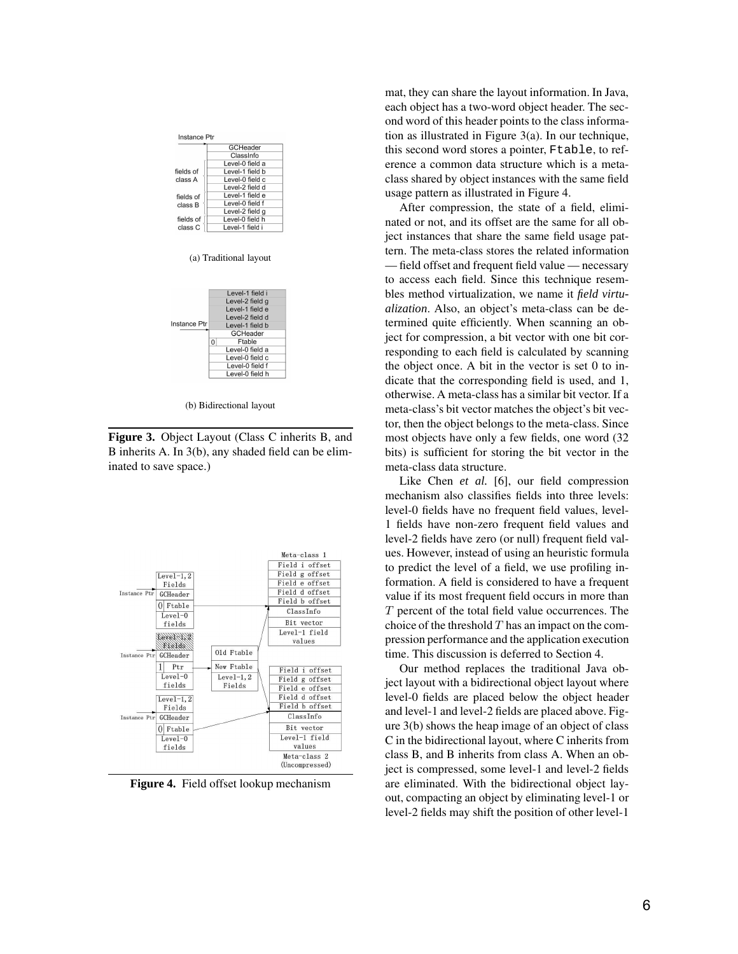



(b) Bidirectional layout

**Figure 3.** Object Layout (Class C inherits B, and B inherits A. In 3(b), any shaded field can be eliminated to save space.)



**Figure 4.** Field offset lookup mechanism

mat, they can share the layout information. In Java, each object has a two-word object header. The second word of this header points to the class information as illustrated in Figure 3(a). In our technique, this second word stores a pointer, Ftable, to reference a common data structure which is a metaclass shared by object instances with the same field usage pattern as illustrated in Figure 4.

After compression, the state of a field, eliminated or not, and its offset are the same for all object instances that share the same field usage pattern. The meta-class stores the related information — field offset and frequent field value — necessary to access each field. Since this technique resembles method virtualization, we name it *field virtualization*. Also, an object's meta-class can be determined quite efficiently. When scanning an object for compression, a bit vector with one bit corresponding to each field is calculated by scanning the object once. A bit in the vector is set 0 to indicate that the corresponding field is used, and 1, otherwise. A meta-class has a similar bit vector. If a meta-class's bit vector matches the object's bit vector, then the object belongs to the meta-class. Since most objects have only a few fields, one word (32 bits) is sufficient for storing the bit vector in the meta-class data structure.

Like Chen *et al.* [6], our field compression mechanism also classifies fields into three levels: level-0 fields have no frequent field values, level-1 fields have non-zero frequent field values and level-2 fields have zero (or null) frequent field values. However, instead of using an heuristic formula to predict the level of a field, we use profiling information. A field is considered to have a frequent value if its most frequent field occurs in more than T percent of the total field value occurrences. The choice of the threshold  $T$  has an impact on the compression performance and the application execution time. This discussion is deferred to Section 4.

Our method replaces the traditional Java object layout with a bidirectional object layout where level-0 fields are placed below the object header and level-1 and level-2 fields are placed above. Figure 3(b) shows the heap image of an object of class C in the bidirectional layout, where C inherits from class B, and B inherits from class A. When an object is compressed, some level-1 and level-2 fields are eliminated. With the bidirectional object layout, compacting an object by eliminating level-1 or level-2 fields may shift the position of other level-1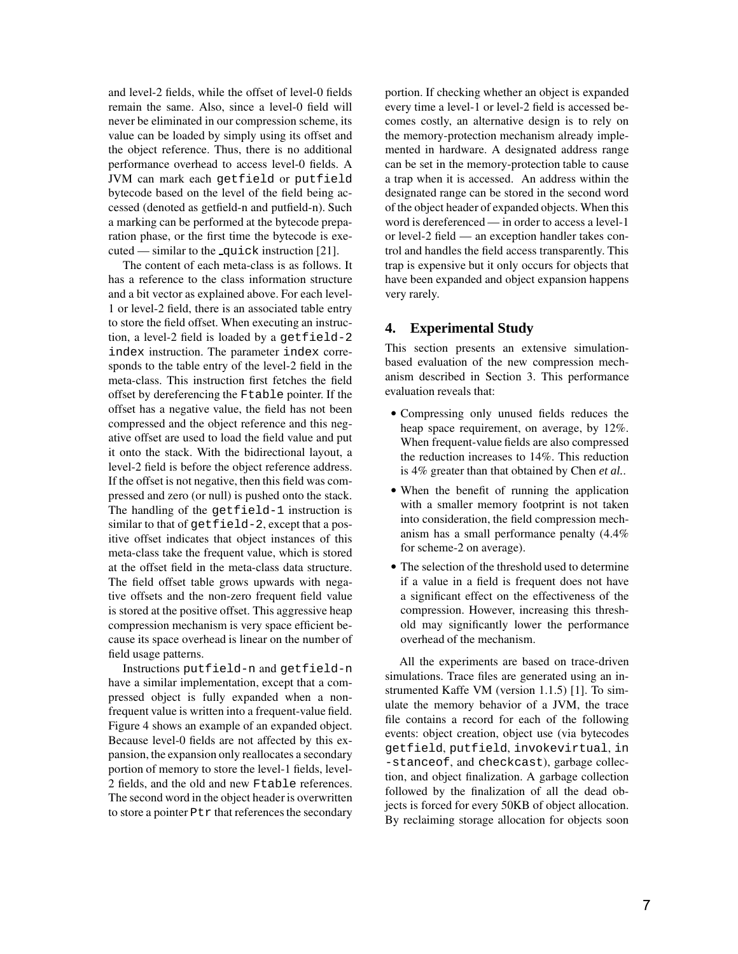and level-2 fields, while the offset of level-0 fields remain the same. Also, since a level-0 field will never be eliminated in our compression scheme, its value can be loaded by simply using its offset and the object reference. Thus, there is no additional performance overhead to access level-0 fields. A JVM can mark each getfield or putfield bytecode based on the level of the field being accessed (denoted as getfield-n and putfield-n). Such a marking can be performed at the bytecode preparation phase, or the first time the bytecode is exe $cuted$  — similar to the  $-quick$  instruction [21].

The content of each meta-class is as follows. It has a reference to the class information structure and a bit vector as explained above. For each level-1 or level-2 field, there is an associated table entry to store the field offset. When executing an instruction, a level-2 field is loaded by a getfield-2 index instruction. The parameter index corresponds to the table entry of the level-2 field in the meta-class. This instruction first fetches the field offset by dereferencing the Ftable pointer. If the offset has a negative value, the field has not been compressed and the object reference and this negative offset are used to load the field value and put it onto the stack. With the bidirectional layout, a level-2 field is before the object reference address. If the offset is not negative, then this field was compressed and zero (or null) is pushed onto the stack. The handling of the getfield-1 instruction is similar to that of getfield-2, except that a positive offset indicates that object instances of this meta-class take the frequent value, which is stored at the offset field in the meta-class data structure. The field offset table grows upwards with negative offsets and the non-zero frequent field value is stored at the positive offset. This aggressive heap compression mechanism is very space efficient because its space overhead is linear on the number of field usage patterns.

Instructions putfield-n and getfield-n have a similar implementation, except that a compressed object is fully expanded when a nonfrequent value is written into a frequent-value field. Figure 4 shows an example of an expanded object. Because level-0 fields are not affected by this expansion, the expansion only reallocates a secondary portion of memory to store the level-1 fields, level-2 fields, and the old and new Ftable references. The second word in the object header is overwritten to store a pointer Ptr that references the secondary

portion. If checking whether an object is expanded every time a level-1 or level-2 field is accessed becomes costly, an alternative design is to rely on the memory-protection mechanism already implemented in hardware. A designated address range can be set in the memory-protection table to cause a trap when it is accessed. An address within the designated range can be stored in the second word of the object header of expanded objects. When this word is dereferenced — in order to access a level-1 or level-2 field — an exception handler takes control and handles the field access transparently. This trap is expensive but it only occurs for objects that have been expanded and object expansion happens very rarely.

## **4. Experimental Study**

This section presents an extensive simulationbased evaluation of the new compression mechanism described in Section 3. This performance evaluation reveals that:

- Compressing only unused fields reduces the heap space requirement, on average, by 12%. When frequent-value fields are also compressed the reduction increases to 14%. This reduction is 4% greater than that obtained by Chen *et al.*.
- When the benefit of running the application with a smaller memory footprint is not taken into consideration, the field compression mechanism has a small performance penalty (4.4% for scheme-2 on average).
- The selection of the threshold used to determine if a value in a field is frequent does not have a significant effect on the effectiveness of the compression. However, increasing this threshold may significantly lower the performance overhead of the mechanism.

All the experiments are based on trace-driven simulations. Trace files are generated using an instrumented Kaffe VM (version 1.1.5) [1]. To simulate the memory behavior of a JVM, the trace file contains a record for each of the following events: object creation, object use (via bytecodes getfield, putfield, invokevirtual, in -stanceof, and checkcast), garbage collection, and object finalization. A garbage collection followed by the finalization of all the dead objects is forced for every 50KB of object allocation. By reclaiming storage allocation for objects soon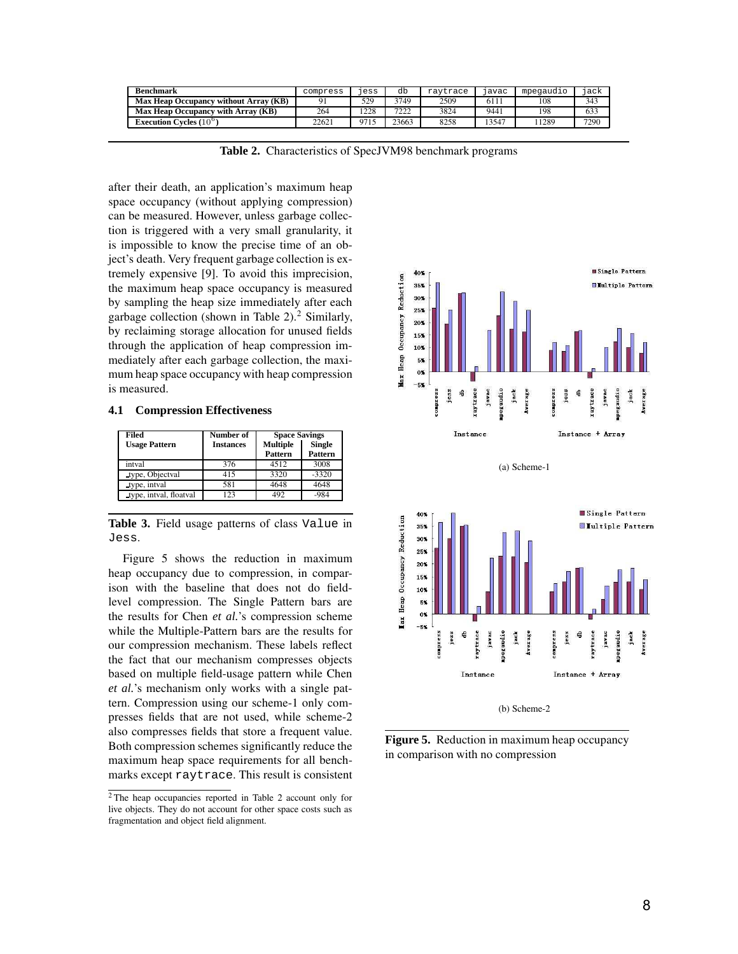| Benchmark                              | compress | iess | db    | ravtrace | javac | mpegaudio | iack |
|----------------------------------------|----------|------|-------|----------|-------|-----------|------|
| Max Heap Occupancy without Array (KB)  | 91       | 529  | 3749  | 2509     | 6111  | 108       | 343  |
| Max Heap Occupancy with Array (KB)     | 264      | 228  | 7222  | 3824     | 9441  | 198       | 633  |
| <b>Execution Cycles</b> $(10^{\circ})$ | 22621    | 9715 | 23663 | 8258     | 3547  | 1289      | 7290 |

**Table 2.** Characteristics of SpecJVM98 benchmark programs

after their death, an application's maximum heap space occupancy (without applying compression) can be measured. However, unless garbage collection is triggered with a very small granularity, it is impossible to know the precise time of an object's death. Very frequent garbage collection is extremely expensive [9]. To avoid this imprecision, the maximum heap space occupancy is measured by sampling the heap size immediately after each garbage collection (shown in Table 2).<sup>2</sup> Similarly, by reclaiming storage allocation for unused fields through the application of heap compression immediately after each garbage collection, the maximum heap space occupancy with heap compression is measured.

#### **4.1 Compression Effectiveness**

| Filed                  | Number of        | <b>Space Savings</b>       |                                 |  |  |
|------------------------|------------------|----------------------------|---------------------------------|--|--|
| <b>Usage Pattern</b>   | <b>Instances</b> | <b>Multiple</b><br>Pattern | <b>Single</b><br><b>Pattern</b> |  |  |
| intval                 | 376              | 4512                       | 3008                            |  |  |
| type, Objectval        | 415              | 3320                       | $-3320$                         |  |  |
| type, intval           | 581              | 4648                       | 4648                            |  |  |
| type, intval, floatval | 123              | 492                        | -984                            |  |  |

**Table 3.** Field usage patterns of class Value in Jess.

Figure 5 shows the reduction in maximum heap occupancy due to compression, in comparison with the baseline that does not do fieldlevel compression. The Single Pattern bars are the results for Chen *et al.*'s compression scheme while the Multiple-Pattern bars are the results for our compression mechanism. These labels reflect the fact that our mechanism compresses objects based on multiple field-usage pattern while Chen *et al.*'s mechanism only works with a single pattern. Compression using our scheme-1 only compresses fields that are not used, while scheme-2 also compresses fields that store a frequent value. Both compression schemes significantly reduce the maximum heap space requirements for all benchmarks except raytrace. This result is consistent





**Figure 5.** Reduction in maximum heap occupancy in comparison with no compression

## (a) Scheme-1

<sup>2</sup> The heap occupancies reported in Table 2 account only for live objects. They do not account for other space costs such as fragmentation and object field alignment.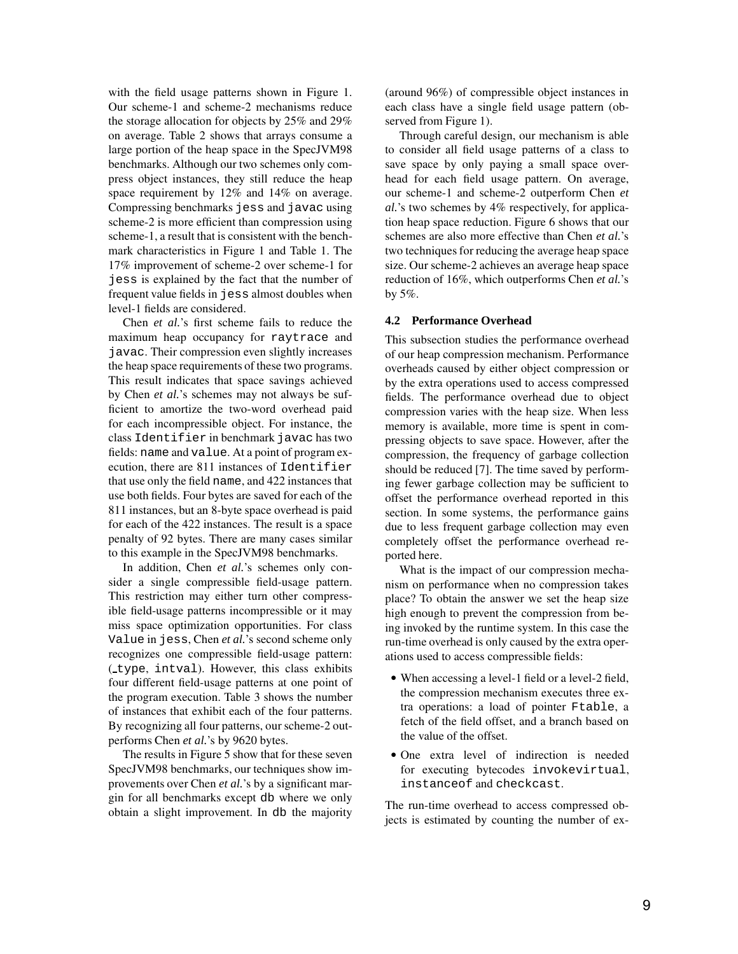with the field usage patterns shown in Figure 1. Our scheme-1 and scheme-2 mechanisms reduce the storage allocation for objects by 25% and 29% on average. Table 2 shows that arrays consume a large portion of the heap space in the SpecJVM98 benchmarks. Although our two schemes only compress object instances, they still reduce the heap space requirement by 12% and 14% on average. Compressing benchmarks jess and javac using scheme-2 is more efficient than compression using scheme-1, a result that is consistent with the benchmark characteristics in Figure 1 and Table 1. The 17% improvement of scheme-2 over scheme-1 for jess is explained by the fact that the number of frequent value fields in jess almost doubles when level-1 fields are considered.

Chen *et al.*'s first scheme fails to reduce the maximum heap occupancy for raytrace and javac. Their compression even slightly increases the heap space requirements of these two programs. This result indicates that space savings achieved by Chen *et al.*'s schemes may not always be sufficient to amortize the two-word overhead paid for each incompressible object. For instance, the class Identifier in benchmark javac has two fields: name and value. At a point of program execution, there are 811 instances of Identifier that use only the field name, and 422 instances that use both fields. Four bytes are saved for each of the 811 instances, but an 8-byte space overhead is paid for each of the 422 instances. The result is a space penalty of 92 bytes. There are many cases similar to this example in the SpecJVM98 benchmarks.

In addition, Chen *et al.*'s schemes only consider a single compressible field-usage pattern. This restriction may either turn other compressible field-usage patterns incompressible or it may miss space optimization opportunities. For class Value in jess, Chen *et al.*'s second scheme only recognizes one compressible field-usage pattern: (type, intval). However, this class exhibits four different field-usage patterns at one point of the program execution. Table 3 shows the number of instances that exhibit each of the four patterns. By recognizing all four patterns, our scheme-2 outperforms Chen *et al.*'s by 9620 bytes.

The results in Figure 5 show that for these seven SpecJVM98 benchmarks, our techniques show improvements over Chen *et al.*'s by a significant margin for all benchmarks except db where we only obtain a slight improvement. In db the majority

(around 96%) of compressible object instances in each class have a single field usage pattern (observed from Figure 1).

Through careful design, our mechanism is able to consider all field usage patterns of a class to save space by only paying a small space overhead for each field usage pattern. On average, our scheme-1 and scheme-2 outperform Chen *et al.*'s two schemes by 4% respectively, for application heap space reduction. Figure 6 shows that our schemes are also more effective than Chen *et al.*'s two techniques for reducing the average heap space size. Our scheme-2 achieves an average heap space reduction of 16%, which outperforms Chen *et al.*'s by 5%.

#### **4.2 Performance Overhead**

This subsection studies the performance overhead of our heap compression mechanism. Performance overheads caused by either object compression or by the extra operations used to access compressed fields. The performance overhead due to object compression varies with the heap size. When less memory is available, more time is spent in compressing objects to save space. However, after the compression, the frequency of garbage collection should be reduced [7]. The time saved by performing fewer garbage collection may be sufficient to offset the performance overhead reported in this section. In some systems, the performance gains due to less frequent garbage collection may even completely offset the performance overhead reported here.

What is the impact of our compression mechanism on performance when no compression takes place? To obtain the answer we set the heap size high enough to prevent the compression from being invoked by the runtime system. In this case the run-time overhead is only caused by the extra operations used to access compressible fields:

- When accessing a level-1 field or a level-2 field, the compression mechanism executes three extra operations: a load of pointer Ftable, a fetch of the field offset, and a branch based on the value of the offset.
- One extra level of indirection is needed for executing bytecodes invokevirtual, instanceof and checkcast.

The run-time overhead to access compressed objects is estimated by counting the number of ex-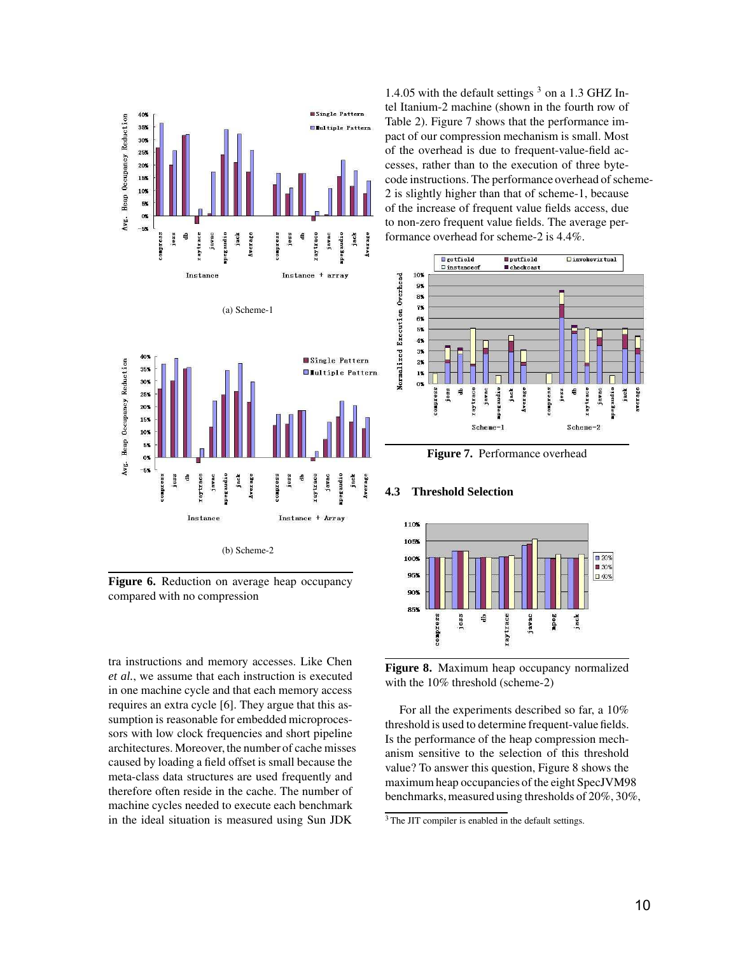

**Figure 6.** Reduction on average heap occupancy compared with no compression

tra instructions and memory accesses. Like Chen *et al.*, we assume that each instruction is executed in one machine cycle and that each memory access requires an extra cycle [6]. They argue that this assumption is reasonable for embedded microprocessors with low clock frequencies and short pipeline architectures. Moreover, the number of cache misses caused by loading a field offset is small because the meta-class data structures are used frequently and therefore often reside in the cache. The number of machine cycles needed to execute each benchmark in the ideal situation is measured using Sun JDK

1.4.05 with the default settings  $3$  on a 1.3 GHZ Intel Itanium-2 machine (shown in the fourth row of Table 2). Figure 7 shows that the performance impact of our compression mechanism is small. Most of the overhead is due to frequent-value-field accesses, rather than to the execution of three bytecode instructions. The performance overhead of scheme-2 is slightly higher than that of scheme-1, because of the increase of frequent value fields access, due to non-zero frequent value fields. The average performance overhead for scheme-2 is 4.4%.



**Figure 7.** Performance overhead

#### **4.3 Threshold Selection**



**Figure 8.** Maximum heap occupancy normalized with the 10% threshold (scheme-2)

For all the experiments described so far, a 10% threshold is used to determine frequent-value fields. Is the performance of the heap compression mechanism sensitive to the selection of this threshold value? To answer this question, Figure 8 shows the maximum heap occupancies of the eight SpecJVM98 benchmarks, measured using thresholds of 20%, 30%,

<sup>3</sup> The JIT compiler is enabled in the default settings.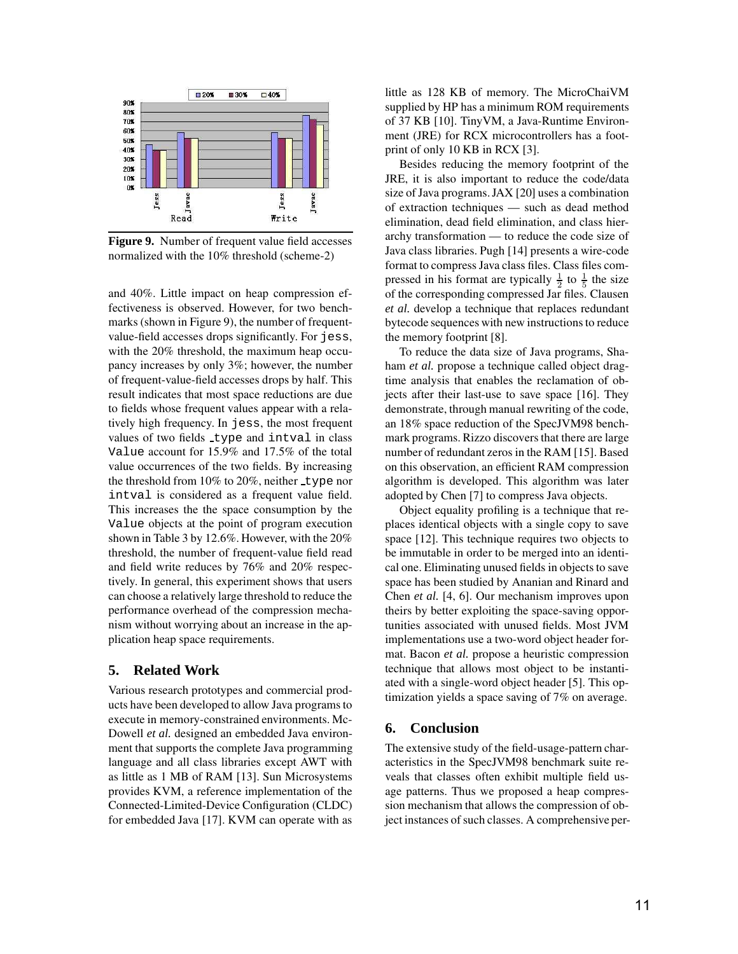

**Figure 9.** Number of frequent value field accesses normalized with the 10% threshold (scheme-2)

and 40%. Little impact on heap compression effectiveness is observed. However, for two benchmarks (shown in Figure 9), the number of frequentvalue-field accesses drops significantly. For jess, with the 20% threshold, the maximum heap occupancy increases by only 3%; however, the number of frequent-value-field accesses drops by half. This result indicates that most space reductions are due to fields whose frequent values appear with a relatively high frequency. In jess, the most frequent values of two fields type and intval in class Value account for 15.9% and 17.5% of the total value occurrences of the two fields. By increasing the threshold from  $10\%$  to  $20\%$ , neither type nor intval is considered as a frequent value field. This increases the the space consumption by the Value objects at the point of program execution shown in Table 3 by 12.6%. However, with the 20% threshold, the number of frequent-value field read and field write reduces by 76% and 20% respectively. In general, this experiment shows that users can choose a relatively large threshold to reduce the performance overhead of the compression mechanism without worrying about an increase in the application heap space requirements.

## **5. Related Work**

Various research prototypes and commercial products have been developed to allow Java programsto execute in memory-constrained environments. Mc-Dowell *et al.* designed an embedded Java environment that supports the complete Java programming language and all class libraries except AWT with as little as 1 MB of RAM [13]. Sun Microsystems provides KVM, a reference implementation of the Connected-Limited-Device Configuration (CLDC) for embedded Java [17]. KVM can operate with as

little as 128 KB of memory. The MicroChaiVM supplied by HP has a minimum ROM requirements of 37 KB [10]. TinyVM, a Java-Runtime Environment (JRE) for RCX microcontrollers has a footprint of only 10 KB in RCX [3].

Besides reducing the memory footprint of the JRE, it is also important to reduce the code/data size of Java programs. JAX [20] uses a combination of extraction techniques — such as dead method elimination, dead field elimination, and class hierarchy transformation — to reduce the code size of Java class libraries. Pugh [14] presents a wire-code format to compress Java class files. Class files compressed in his format are typically  $\frac{1}{2}$  to  $\frac{1}{5}$  the size of the corresponding compressed Jar files. Clausen *et al.* develop a technique that replaces redundant bytecode sequences with new instructions to reduce the memory footprint [8].

To reduce the data size of Java programs, Shaham *et al.* propose a technique called object dragtime analysis that enables the reclamation of objects after their last-use to save space [16]. They demonstrate, through manual rewriting of the code, an 18% space reduction of the SpecJVM98 benchmark programs. Rizzo discovers that there are large number of redundant zeros in the RAM [15]. Based on this observation, an efficient RAM compression algorithm is developed. This algorithm was later adopted by Chen [7] to compress Java objects.

Object equality profiling is a technique that replaces identical objects with a single copy to save space [12]. This technique requires two objects to be immutable in order to be merged into an identical one. Eliminating unused fields in objects to save space has been studied by Ananian and Rinard and Chen *et al.* [4, 6]. Our mechanism improves upon theirs by better exploiting the space-saving opportunities associated with unused fields. Most JVM implementations use a two-word object header format. Bacon *et al.* propose a heuristic compression technique that allows most object to be instantiated with a single-word object header [5]. This optimization yields a space saving of 7% on average.

## **6. Conclusion**

The extensive study of the field-usage-pattern characteristics in the SpecJVM98 benchmark suite reveals that classes often exhibit multiple field usage patterns. Thus we proposed a heap compression mechanism that allows the compression of object instances of such classes. A comprehensive per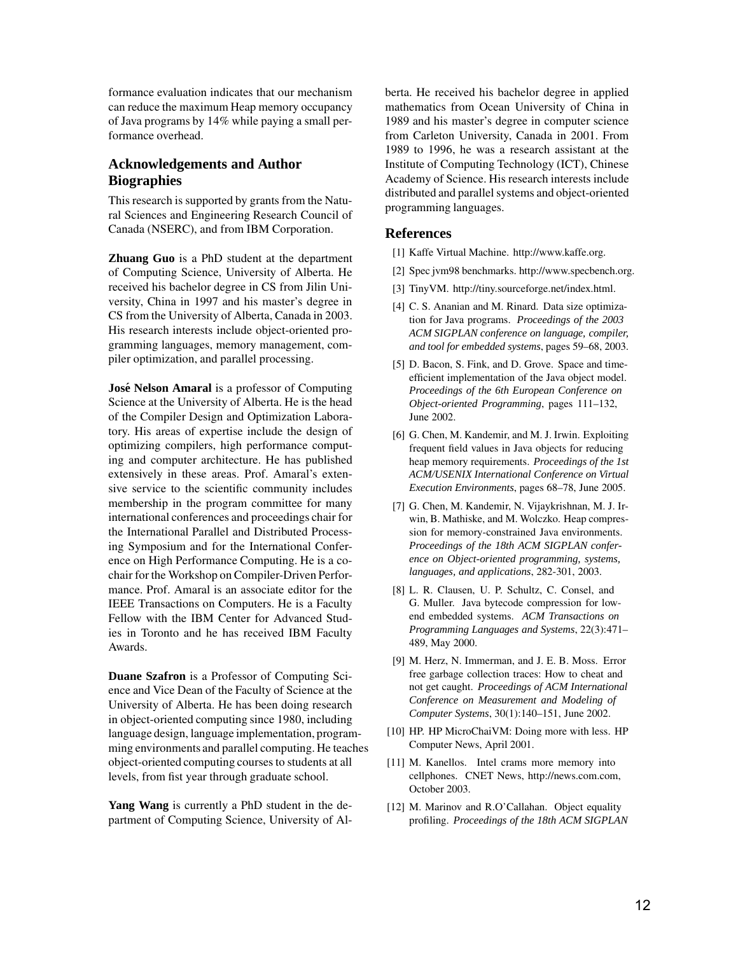formance evaluation indicates that our mechanism can reduce the maximum Heap memory occupancy of Java programs by 14% while paying a small performance overhead.

## **Acknowledgements and Author Biographies**

This research is supported by grants from the Natural Sciences and Engineering Research Council of Canada (NSERC), and from IBM Corporation.

**Zhuang Guo** is a PhD student at the department of Computing Science, University of Alberta. He received his bachelor degree in CS from Jilin University, China in 1997 and his master's degree in CS from the University of Alberta, Canada in 2003. His research interests include object-oriented programming languages, memory management, compiler optimization, and parallel processing.

**Jose´ Nelson Amaral** is a professor of Computing Science at the University of Alberta. He is the head of the Compiler Design and Optimization Laboratory. His areas of expertise include the design of optimizing compilers, high performance computing and computer architecture. He has published extensively in these areas. Prof. Amaral's extensive service to the scientific community includes membership in the program committee for many international conferences and proceedings chair for the International Parallel and Distributed Processing Symposium and for the International Conference on High Performance Computing. He is a cochair for the Workshop on Compiler-Driven Performance. Prof. Amaral is an associate editor for the IEEE Transactions on Computers. He is a Faculty Fellow with the IBM Center for Advanced Studies in Toronto and he has received IBM Faculty Awards.

**Duane Szafron** is a Professor of Computing Science and Vice Dean of the Faculty of Science at the University of Alberta. He has been doing research in object-oriented computing since 1980, including language design, language implementation, programming environments and parallel computing. He teaches object-oriented computing courses to students at all levels, from fist year through graduate school.

**Yang Wang** is currently a PhD student in the department of Computing Science, University of Alberta. He received his bachelor degree in applied mathematics from Ocean University of China in 1989 and his master's degree in computer science from Carleton University, Canada in 2001. From 1989 to 1996, he was a research assistant at the Institute of Computing Technology (ICT), Chinese Academy of Science. His research interests include distributed and parallel systems and object-oriented programming languages.

## **References**

- [1] Kaffe Virtual Machine. http://www.kaffe.org.
- [2] Spec jvm98 benchmarks. http://www.specbench.org.
- [3] TinyVM. http://tiny.sourceforge.net/index.html.
- [4] C. S. Ananian and M. Rinard. Data size optimization for Java programs. *Proceedings of the 2003 ACM SIGPLAN conference on language, compiler, and tool for embedded systems*, pages 59–68, 2003.
- [5] D. Bacon, S. Fink, and D. Grove. Space and timeefficient implementation of the Java object model. *Proceedings of the 6th European Conference on Object-oriented Programming*, pages 111–132, June 2002.
- [6] G. Chen, M. Kandemir, and M. J. Irwin. Exploiting frequent field values in Java objects for reducing heap memory requirements. *Proceedings of the 1st ACM/USENIX International Conference on Virtual Execution Environments*, pages 68–78, June 2005.
- [7] G. Chen, M. Kandemir, N. Vijaykrishnan, M. J. Irwin, B. Mathiske, and M. Wolczko. Heap compression for memory-constrained Java environments. *Proceedings of the 18th ACM SIGPLAN conference on Object-oriented programming, systems, languages, and applications*, 282-301, 2003.
- [8] L. R. Clausen, U. P. Schultz, C. Consel, and G. Muller. Java bytecode compression for lowend embedded systems. *ACM Transactions on Programming Languages and Systems*, 22(3):471– 489, May 2000.
- [9] M. Herz, N. Immerman, and J. E. B. Moss. Error free garbage collection traces: How to cheat and not get caught. *Proceedings of ACM International Conference on Measurement and Modeling of Computer Systems*, 30(1):140–151, June 2002.
- [10] HP. HP MicroChaiVM: Doing more with less. HP Computer News, April 2001.
- [11] M. Kanellos. Intel crams more memory into cellphones. CNET News, http://news.com.com, October 2003.
- [12] M. Marinov and R.O'Callahan. Object equality profiling. *Proceedings of the 18th ACM SIGPLAN*